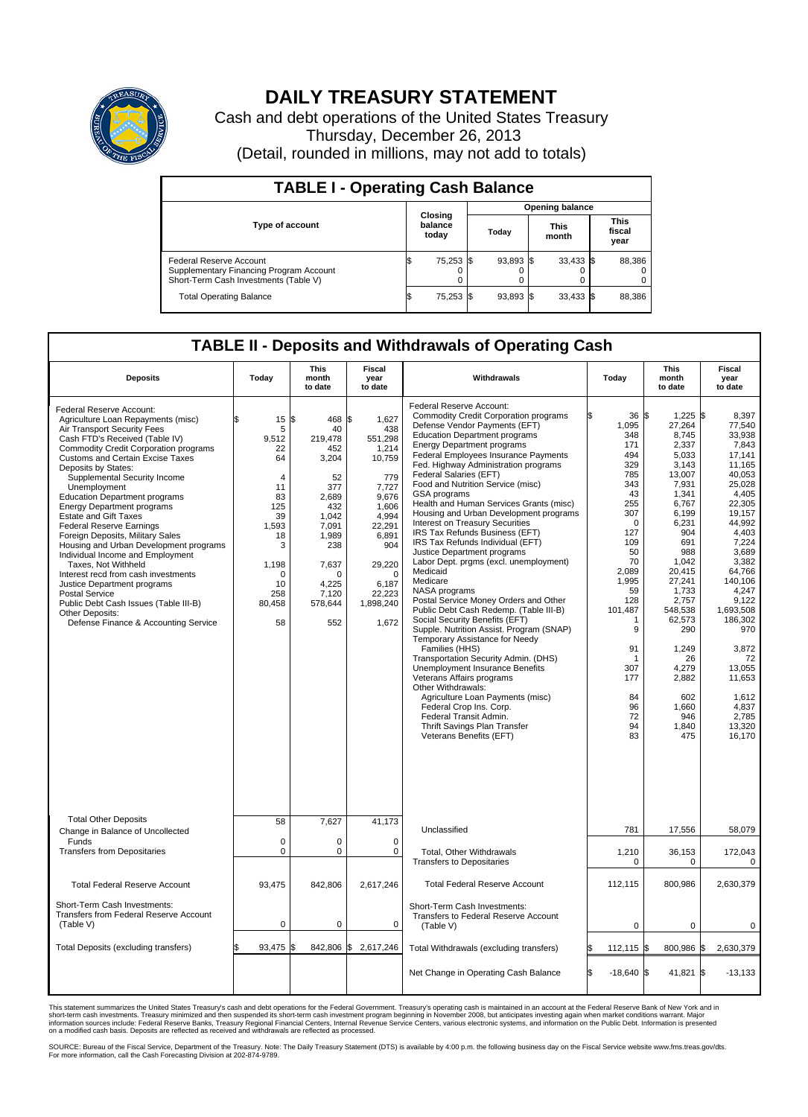

## **DAILY TREASURY STATEMENT**

Cash and debt operations of the United States Treasury Thursday, December 26, 2013 (Detail, rounded in millions, may not add to totals)

| <b>TABLE I - Operating Cash Balance</b>                                                                     |                        |                             |       |           |                      |             |                               |        |  |  |
|-------------------------------------------------------------------------------------------------------------|------------------------|-----------------------------|-------|-----------|----------------------|-------------|-------------------------------|--------|--|--|
|                                                                                                             | <b>Opening balance</b> |                             |       |           |                      |             |                               |        |  |  |
| <b>Type of account</b>                                                                                      |                        | Closing<br>balance<br>today | Today |           | <b>This</b><br>month |             | <b>This</b><br>fiscal<br>year |        |  |  |
| Federal Reserve Account<br>Supplementary Financing Program Account<br>Short-Term Cash Investments (Table V) |                        | 75,253 \$                   |       | 93,893 \$ |                      | $33,433$ \$ |                               | 88,386 |  |  |
| <b>Total Operating Balance</b>                                                                              | ıъ                     | 75,253 \$                   |       | 93,893 \$ |                      | $33,433$ \$ |                               | 88,386 |  |  |

## **TABLE II - Deposits and Withdrawals of Operating Cash**

| <b>Deposits</b>                                                                                                                                                                                                                                                                                                                                                                                                                                                                                                                                                                                                                                                                                                                                                                               | Today                                                                                                                                  | <b>This</b><br>month<br>to date                                                                                                                              | <b>Fiscal</b><br>year<br>to date                                                                                                                                                     | Withdrawals                                                                                                                                                                                                                                                                                                                                                                                                                                                                                                                                                                                                                                                                                                                                                                                                                                                                                                                                                                                                                                                                                                                                                                                | Today                                                                                                                                                                                                                                             | <b>This</b><br>month<br>to date                                                                                                                                                                                                                                                         | <b>Fiscal</b><br>year<br>to date                                                                                                                                                                                                                                                                              |
|-----------------------------------------------------------------------------------------------------------------------------------------------------------------------------------------------------------------------------------------------------------------------------------------------------------------------------------------------------------------------------------------------------------------------------------------------------------------------------------------------------------------------------------------------------------------------------------------------------------------------------------------------------------------------------------------------------------------------------------------------------------------------------------------------|----------------------------------------------------------------------------------------------------------------------------------------|--------------------------------------------------------------------------------------------------------------------------------------------------------------|--------------------------------------------------------------------------------------------------------------------------------------------------------------------------------------|--------------------------------------------------------------------------------------------------------------------------------------------------------------------------------------------------------------------------------------------------------------------------------------------------------------------------------------------------------------------------------------------------------------------------------------------------------------------------------------------------------------------------------------------------------------------------------------------------------------------------------------------------------------------------------------------------------------------------------------------------------------------------------------------------------------------------------------------------------------------------------------------------------------------------------------------------------------------------------------------------------------------------------------------------------------------------------------------------------------------------------------------------------------------------------------------|---------------------------------------------------------------------------------------------------------------------------------------------------------------------------------------------------------------------------------------------------|-----------------------------------------------------------------------------------------------------------------------------------------------------------------------------------------------------------------------------------------------------------------------------------------|---------------------------------------------------------------------------------------------------------------------------------------------------------------------------------------------------------------------------------------------------------------------------------------------------------------|
| Federal Reserve Account:<br>Agriculture Loan Repayments (misc)<br>Air Transport Security Fees<br>Cash FTD's Received (Table IV)<br><b>Commodity Credit Corporation programs</b><br><b>Customs and Certain Excise Taxes</b><br>Deposits by States:<br>Supplemental Security Income<br>Unemployment<br><b>Education Department programs</b><br><b>Energy Department programs</b><br><b>Estate and Gift Taxes</b><br><b>Federal Reserve Earnings</b><br>Foreign Deposits, Military Sales<br>Housing and Urban Development programs<br>Individual Income and Employment<br>Taxes, Not Withheld<br>Interest recd from cash investments<br>Justice Department programs<br><b>Postal Service</b><br>Public Debt Cash Issues (Table III-B)<br>Other Deposits:<br>Defense Finance & Accounting Service | 15<br>5<br>9,512<br>22<br>64<br>$\overline{4}$<br>11<br>83<br>125<br>39<br>1.593<br>18<br>3<br>1,198<br>0<br>10<br>258<br>80,458<br>58 | l\$<br>468<br>40<br>219,478<br>452<br>3,204<br>52<br>377<br>2.689<br>432<br>1,042<br>7.091<br>1,989<br>238<br>7,637<br>O<br>4.225<br>7,120<br>578,644<br>552 | \$<br>1,627<br>438<br>551,298<br>1,214<br>10,759<br>779<br>7,727<br>9.676<br>1,606<br>4,994<br>22.291<br>6,891<br>904<br>29,220<br>$\Omega$<br>6.187<br>22,223<br>1,898,240<br>1,672 | Federal Reserve Account:<br><b>Commodity Credit Corporation programs</b><br>Defense Vendor Payments (EFT)<br><b>Education Department programs</b><br><b>Energy Department programs</b><br>Federal Employees Insurance Payments<br>Fed. Highway Administration programs<br>Federal Salaries (EFT)<br>Food and Nutrition Service (misc)<br><b>GSA</b> programs<br>Health and Human Services Grants (misc)<br>Housing and Urban Development programs<br>Interest on Treasury Securities<br>IRS Tax Refunds Business (EFT)<br>IRS Tax Refunds Individual (EFT)<br>Justice Department programs<br>Labor Dept. prgms (excl. unemployment)<br>Medicaid<br>Medicare<br>NASA programs<br>Postal Service Money Orders and Other<br>Public Debt Cash Redemp. (Table III-B)<br>Social Security Benefits (EFT)<br>Supple. Nutrition Assist. Program (SNAP)<br>Temporary Assistance for Needy<br>Families (HHS)<br>Transportation Security Admin. (DHS)<br><b>Unemployment Insurance Benefits</b><br>Veterans Affairs programs<br>Other Withdrawals:<br>Agriculture Loan Payments (misc)<br>Federal Crop Ins. Corp.<br>Federal Transit Admin.<br>Thrift Savings Plan Transfer<br>Veterans Benefits (EFT) | $36\frac{ }{5}$<br>1,095<br>348<br>171<br>494<br>329<br>785<br>343<br>43<br>255<br>307<br>$\Omega$<br>127<br>109<br>50<br>70<br>2,089<br>1,995<br>59<br>128<br>101,487<br>1<br>9<br>91<br>$\mathbf 1$<br>307<br>177<br>84<br>96<br>72<br>94<br>83 | $1,225$ \$<br>27,264<br>8,745<br>2,337<br>5,033<br>3,143<br>13,007<br>7,931<br>1,341<br>6,767<br>6,199<br>6,231<br>904<br>691<br>988<br>1,042<br>20,415<br>27,241<br>1,733<br>2,757<br>548,538<br>62,573<br>290<br>1,249<br>26<br>4,279<br>2,882<br>602<br>1,660<br>946<br>1,840<br>475 | 8.397<br>77,540<br>33,938<br>7.843<br>17,141<br>11.165<br>40.053<br>25,028<br>4.405<br>22.305<br>19,157<br>44,992<br>4.403<br>7,224<br>3.689<br>3,382<br>64,766<br>140,106<br>4.247<br>9,122<br>1,693,508<br>186,302<br>970<br>3,872<br>72<br>13,055<br>11,653<br>1,612<br>4,837<br>2,785<br>13,320<br>16,170 |
| <b>Total Other Deposits</b><br>Change in Balance of Uncollected                                                                                                                                                                                                                                                                                                                                                                                                                                                                                                                                                                                                                                                                                                                               | 58                                                                                                                                     | 7,627                                                                                                                                                        | 41,173                                                                                                                                                                               | Unclassified                                                                                                                                                                                                                                                                                                                                                                                                                                                                                                                                                                                                                                                                                                                                                                                                                                                                                                                                                                                                                                                                                                                                                                               | 781                                                                                                                                                                                                                                               | 17,556                                                                                                                                                                                                                                                                                  | 58,079                                                                                                                                                                                                                                                                                                        |
| Funds<br><b>Transfers from Depositaries</b>                                                                                                                                                                                                                                                                                                                                                                                                                                                                                                                                                                                                                                                                                                                                                   | $\mathbf 0$<br>0                                                                                                                       | 0<br>0                                                                                                                                                       | $\mathbf 0$<br>0                                                                                                                                                                     | Total, Other Withdrawals<br><b>Transfers to Depositaries</b>                                                                                                                                                                                                                                                                                                                                                                                                                                                                                                                                                                                                                                                                                                                                                                                                                                                                                                                                                                                                                                                                                                                               | 1,210<br>$\mathbf 0$                                                                                                                                                                                                                              | 36,153<br>0                                                                                                                                                                                                                                                                             | 172,043<br>0                                                                                                                                                                                                                                                                                                  |
| <b>Total Federal Reserve Account</b><br>Short-Term Cash Investments:                                                                                                                                                                                                                                                                                                                                                                                                                                                                                                                                                                                                                                                                                                                          | 93,475                                                                                                                                 | 842,806                                                                                                                                                      | 2,617,246                                                                                                                                                                            | <b>Total Federal Reserve Account</b><br>Short-Term Cash Investments:                                                                                                                                                                                                                                                                                                                                                                                                                                                                                                                                                                                                                                                                                                                                                                                                                                                                                                                                                                                                                                                                                                                       | 112,115                                                                                                                                                                                                                                           | 800,986                                                                                                                                                                                                                                                                                 | 2,630,379                                                                                                                                                                                                                                                                                                     |
| <b>Transfers from Federal Reserve Account</b><br>(Table V)                                                                                                                                                                                                                                                                                                                                                                                                                                                                                                                                                                                                                                                                                                                                    | 0                                                                                                                                      | 0                                                                                                                                                            | 0                                                                                                                                                                                    | Transfers to Federal Reserve Account<br>(Table V)                                                                                                                                                                                                                                                                                                                                                                                                                                                                                                                                                                                                                                                                                                                                                                                                                                                                                                                                                                                                                                                                                                                                          | $\mathbf 0$                                                                                                                                                                                                                                       | 0                                                                                                                                                                                                                                                                                       | 0                                                                                                                                                                                                                                                                                                             |
| Total Deposits (excluding transfers)                                                                                                                                                                                                                                                                                                                                                                                                                                                                                                                                                                                                                                                                                                                                                          | 93,475                                                                                                                                 | 842,806<br>\$                                                                                                                                                | \$<br>2,617,246                                                                                                                                                                      | Total Withdrawals (excluding transfers)                                                                                                                                                                                                                                                                                                                                                                                                                                                                                                                                                                                                                                                                                                                                                                                                                                                                                                                                                                                                                                                                                                                                                    | $112,115$ \$                                                                                                                                                                                                                                      | 800,986 \$                                                                                                                                                                                                                                                                              | 2,630,379                                                                                                                                                                                                                                                                                                     |
|                                                                                                                                                                                                                                                                                                                                                                                                                                                                                                                                                                                                                                                                                                                                                                                               |                                                                                                                                        |                                                                                                                                                              |                                                                                                                                                                                      | Net Change in Operating Cash Balance                                                                                                                                                                                                                                                                                                                                                                                                                                                                                                                                                                                                                                                                                                                                                                                                                                                                                                                                                                                                                                                                                                                                                       | l\$<br>$-18,640$ \$                                                                                                                                                                                                                               | 41,821 \$                                                                                                                                                                                                                                                                               | $-13,133$                                                                                                                                                                                                                                                                                                     |

This statement summarizes the United States Treasury's cash and debt operations for the Federal Government. Treasury's operating cash is maintained in an account at the Federal Reserve Bank of New York and in<br>informetion c

SOURCE: Bureau of the Fiscal Service, Department of the Treasury. Note: The Daily Treasury Statement (DTS) is available by 4:00 p.m. the following business day on the Fiscal Service website www.fms.treas.gov/dts.<br>For more